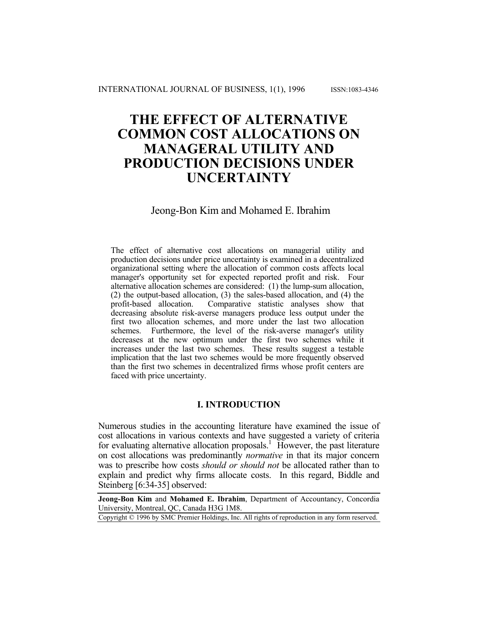# **THE EFFECT OF ALTERNATIVE COMMON COST ALLOCATIONS ON MANAGERAL UTILITY AND PRODUCTION DECISIONS UNDER UNCERTAINTY**

# Jeong-Bon Kim and Mohamed E. Ibrahim

The effect of alternative cost allocations on managerial utility and production decisions under price uncertainty is examined in a decentralized organizational setting where the allocation of common costs affects local manager's opportunity set for expected reported profit and risk. Four alternative allocation schemes are considered: (1) the lump-sum allocation, (2) the output-based allocation, (3) the sales-based allocation, and (4) the profit-based allocation. Comparative statistic analyses show that decreasing absolute risk-averse managers produce less output under the first two allocation schemes, and more under the last two allocation schemes. Furthermore, the level of the risk-averse manager's utility decreases at the new optimum under the first two schemes while it increases under the last two schemes. These results suggest a testable implication that the last two schemes would be more frequently observed than the first two schemes in decentralized firms whose profit centers are faced with price uncertainty.

## **I. INTRODUCTION**

Numerous studies in the accounting literature have examined the issue of cost allocations in various contexts and have suggested a variety of criteria for evaluating alternative allocation proposals.<sup>1</sup> However, the past literature on cost allocations was predominantly *normative* in that its major concern was to prescribe how costs *should or should not* be allocated rather than to explain and predict why firms allocate costs. In this regard, Biddle and Steinberg [6:34-35] observed:

**Jeong-Bon Kim** and **Mohamed E. Ibrahim**, Department of Accountancy, Concordia University, Montreal, QC, Canada H3G 1M8.

Copyright © 1996 by SMC Premier Holdings, Inc. All rights of reproduction in any form reserved.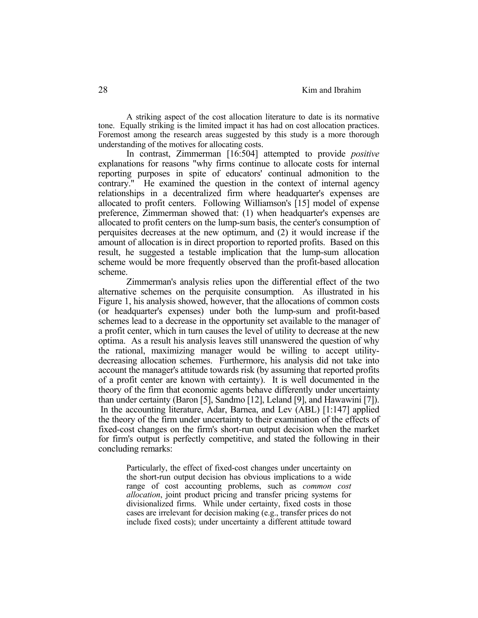A striking aspect of the cost allocation literature to date is its normative tone. Equally striking is the limited impact it has had on cost allocation practices. Foremost among the research areas suggested by this study is a more thorough understanding of the motives for allocating costs.

 In contrast, Zimmerman [16:504] attempted to provide *positive* explanations for reasons "why firms continue to allocate costs for internal reporting purposes in spite of educators' continual admonition to the contrary." He examined the question in the context of internal agency relationships in a decentralized firm where headquarter's expenses are allocated to profit centers. Following Williamson's [15] model of expense preference, Zimmerman showed that: (1) when headquarter's expenses are allocated to profit centers on the lump-sum basis, the center's consumption of perquisites decreases at the new optimum, and (2) it would increase if the amount of allocation is in direct proportion to reported profits. Based on this result, he suggested a testable implication that the lump-sum allocation scheme would be more frequently observed than the profit-based allocation scheme.

 Zimmerman's analysis relies upon the differential effect of the two alternative schemes on the perquisite consumption. As illustrated in his Figure 1, his analysis showed, however, that the allocations of common costs (or headquarter's expenses) under both the lump-sum and profit-based schemes lead to a decrease in the opportunity set available to the manager of a profit center, which in turn causes the level of utility to decrease at the new optima. As a result his analysis leaves still unanswered the question of why the rational, maximizing manager would be willing to accept utilitydecreasing allocation schemes. Furthermore, his analysis did not take into account the manager's attitude towards risk (by assuming that reported profits of a profit center are known with certainty). It is well documented in the theory of the firm that economic agents behave differently under uncertainty than under certainty (Baron [5], Sandmo [12], Leland [9], and Hawawini [7]). In the accounting literature, Adar, Barnea, and Lev (ABL) [1:147] applied the theory of the firm under uncertainty to their examination of the effects of fixed-cost changes on the firm's short-run output decision when the market for firm's output is perfectly competitive, and stated the following in their concluding remarks:

 Particularly, the effect of fixed-cost changes under uncertainty on the short-run output decision has obvious implications to a wide range of cost accounting problems, such as *common cost allocation*, joint product pricing and transfer pricing systems for divisionalized firms. While under certainty, fixed costs in those cases are irrelevant for decision making (e.g., transfer prices do not include fixed costs); under uncertainty a different attitude toward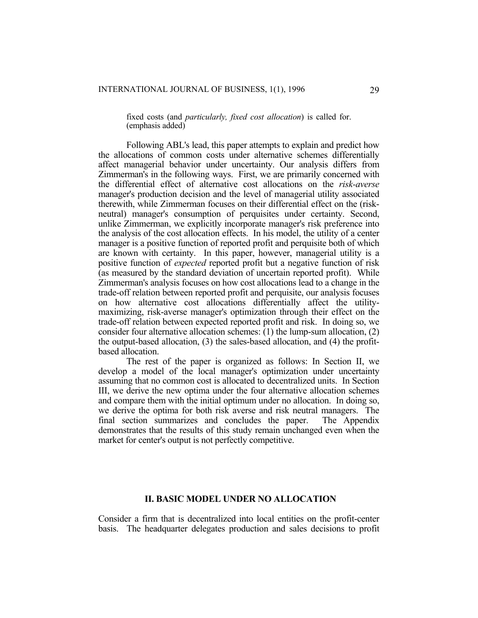fixed costs (and *particularly, fixed cost allocation*) is called for. (emphasis added)

 Following ABL's lead, this paper attempts to explain and predict how the allocations of common costs under alternative schemes differentially affect managerial behavior under uncertainty. Our analysis differs from Zimmerman's in the following ways. First, we are primarily concerned with the differential effect of alternative cost allocations on the *risk-averse* manager's production decision and the level of managerial utility associated therewith, while Zimmerman focuses on their differential effect on the (riskneutral) manager's consumption of perquisites under certainty. Second, unlike Zimmerman, we explicitly incorporate manager's risk preference into the analysis of the cost allocation effects. In his model, the utility of a center manager is a positive function of reported profit and perquisite both of which are known with certainty. In this paper, however, managerial utility is a positive function of *expected* reported profit but a negative function of risk (as measured by the standard deviation of uncertain reported profit). While Zimmerman's analysis focuses on how cost allocations lead to a change in the trade-off relation between reported profit and perquisite, our analysis focuses on how alternative cost allocations differentially affect the utilitymaximizing, risk-averse manager's optimization through their effect on the trade-off relation between expected reported profit and risk. In doing so, we consider four alternative allocation schemes: (1) the lump-sum allocation, (2) the output-based allocation, (3) the sales-based allocation, and (4) the profitbased allocation.

 The rest of the paper is organized as follows: In Section II, we develop a model of the local manager's optimization under uncertainty assuming that no common cost is allocated to decentralized units. In Section III, we derive the new optima under the four alternative allocation schemes and compare them with the initial optimum under no allocation. In doing so, we derive the optima for both risk averse and risk neutral managers. The final section summarizes and concludes the paper. The Appendix demonstrates that the results of this study remain unchanged even when the market for center's output is not perfectly competitive.

## **II. BASIC MODEL UNDER NO ALLOCATION**

Consider a firm that is decentralized into local entities on the profit-center basis. The headquarter delegates production and sales decisions to profit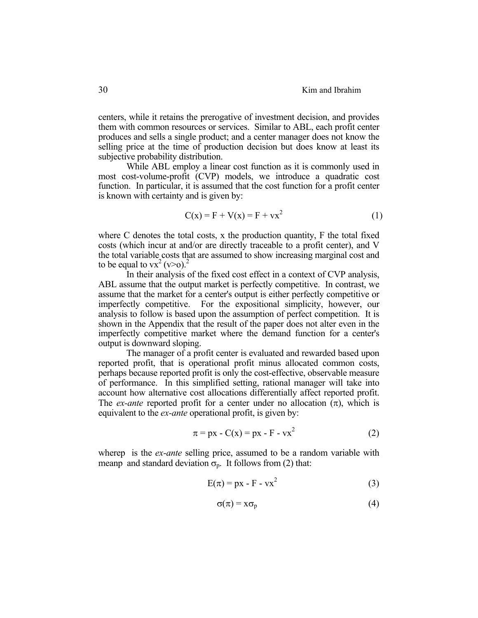centers, while it retains the prerogative of investment decision, and provides them with common resources or services. Similar to ABL, each profit center produces and sells a single product; and a center manager does not know the selling price at the time of production decision but does know at least its subjective probability distribution.

 While ABL employ a linear cost function as it is commonly used in most cost-volume-profit (CVP) models, we introduce a quadratic cost function. In particular, it is assumed that the cost function for a profit center is known with certainty and is given by:

$$
C(x) = F + V(x) = F + vx^2
$$
 (1)

where C denotes the total costs, x the production quantity, F the total fixed costs (which incur at and/or are directly traceable to a profit center), and V the total variable costs that are assumed to show increasing marginal cost and to be equal to  $vx^2 (v>0)^2$ 

 In their analysis of the fixed cost effect in a context of CVP analysis, ABL assume that the output market is perfectly competitive. In contrast, we assume that the market for a center's output is either perfectly competitive or imperfectly competitive. For the expositional simplicity, however, our analysis to follow is based upon the assumption of perfect competition. It is shown in the Appendix that the result of the paper does not alter even in the imperfectly competitive market where the demand function for a center's output is downward sloping.

 The manager of a profit center is evaluated and rewarded based upon reported profit, that is operational profit minus allocated common costs, perhaps because reported profit is only the cost-effective, observable measure of performance. In this simplified setting, rational manager will take into account how alternative cost allocations differentially affect reported profit. The *ex-ante* reported profit for a center under no allocation  $(\pi)$ , which is equivalent to the *ex-ante* operational profit, is given by:

$$
\pi = px - C(x) = px - F - vx^2 \tag{2}
$$

wherep is the *ex-ante* selling price, assumed to be a random variable with meanp and standard deviation  $\sigma_p$ . It follows from (2) that:

$$
E(\pi) = px - F - vx^2 \tag{3}
$$

$$
\sigma(\pi) = x\sigma_p \tag{4}
$$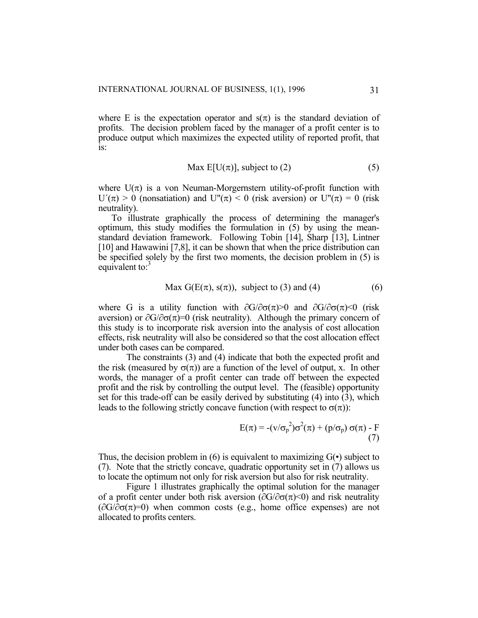where E is the expectation operator and  $s(\pi)$  is the standard deviation of profits. The decision problem faced by the manager of a profit center is to produce output which maximizes the expected utility of reported profit, that is:

$$
\text{Max } E[U(\pi)], \text{ subject to (2)} \tag{5}
$$

where  $U(\pi)$  is a von Neuman-Morgernstern utility-of-profit function with  $U'(\pi) > 0$  (nonsatiation) and  $U''(\pi) < 0$  (risk aversion) or  $U''(\pi) = 0$  (risk neutrality).

 To illustrate graphically the process of determining the manager's optimum, this study modifies the formulation in (5) by using the meanstandard deviation framework. Following Tobin [14], Sharp [13], Lintner [10] and Hawawini [7,8], it can be shown that when the price distribution can be specified solely by the first two moments, the decision problem in (5) is equivalent to:<sup>3</sup>

$$
\text{Max } G(E(\pi), s(\pi)), \text{ subject to (3) and (4)} \tag{6}
$$

where G is a utility function with  $\partial G/\partial \sigma(\pi) > 0$  and  $\partial G/\partial \sigma(\pi) < 0$  (risk aversion) or  $\partial G/\partial \sigma(\pi)=0$  (risk neutrality). Although the primary concern of this study is to incorporate risk aversion into the analysis of cost allocation effects, risk neutrality will also be considered so that the cost allocation effect under both cases can be compared.

 The constraints (3) and (4) indicate that both the expected profit and the risk (measured by  $\sigma(\pi)$ ) are a function of the level of output, x. In other words, the manager of a profit center can trade off between the expected profit and the risk by controlling the output level. The (feasible) opportunity set for this trade-off can be easily derived by substituting (4) into (3), which leads to the following strictly concave function (with respect to  $\sigma(\pi)$ ):

$$
E(\pi) = -(v/\sigma_p^2)\sigma^2(\pi) + (p/\sigma_p) \sigma(\pi) - F
$$
\n(7)

Thus, the decision problem in  $(6)$  is equivalent to maximizing  $G(\cdot)$  subject to (7). Note that the strictly concave, quadratic opportunity set in (7) allows us to locate the optimum not only for risk aversion but also for risk neutrality.

 Figure 1 illustrates graphically the optimal solution for the manager of a profit center under both risk aversion ( $\partial G/\partial \sigma(\pi)$  and risk neutrality  $(\partial G/\partial \sigma(\pi)=0)$  when common costs (e.g., home office expenses) are not allocated to profits centers.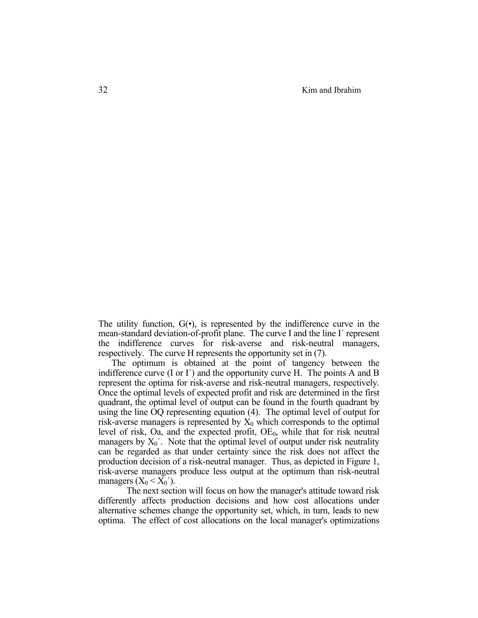The utility function,  $G(\cdot)$ , is represented by the indifference curve in the mean-standard deviation-of-profit plane. The curve I and the line I´ represent the indifference curves for risk-averse and risk-neutral managers, respectively. The curve H represents the opportunity set in (7).

 The optimum is obtained at the point of tangency between the indifference curve (I or I´) and the opportunity curve H. The points A and B represent the optima for risk-averse and risk-neutral managers, respectively. Once the optimal levels of expected profit and risk are determined in the first quadrant, the optimal level of output can be found in the fourth quadrant by using the line OQ representing equation (4). The optimal level of output for risk-averse managers is represented by  $X_0$  which corresponds to the optimal level of risk, Oa, and the expected profit, OE<sub>0</sub>, while that for risk neutral managers by  $X_0'$ . Note that the optimal level of output under risk neutrality can be regarded as that under certainty since the risk does not affect the production decision of a risk-neutral manager. Thus, as depicted in Figure 1, risk-averse managers produce less output at the optimum than risk-neutral managers  $(X_0 \le X_0')$ .

 The next section will focus on how the manager's attitude toward risk differently affects production decisions and how cost allocations under alternative schemes change the opportunity set, which, in turn, leads to new optima. The effect of cost allocations on the local manager's optimizations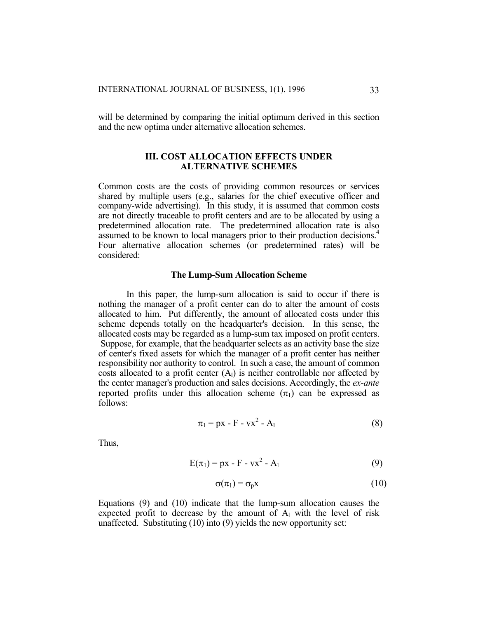will be determined by comparing the initial optimum derived in this section and the new optima under alternative allocation schemes.

# **III. COST ALLOCATION EFFECTS UNDER ALTERNATIVE SCHEMES**

Common costs are the costs of providing common resources or services shared by multiple users (e.g., salaries for the chief executive officer and company-wide advertising). In this study, it is assumed that common costs are not directly traceable to profit centers and are to be allocated by using a predetermined allocation rate. The predetermined allocation rate is also assumed to be known to local managers prior to their production decisions.<sup>4</sup> Four alternative allocation schemes (or predetermined rates) will be considered:

#### **The Lump-Sum Allocation Scheme**

 In this paper, the lump-sum allocation is said to occur if there is nothing the manager of a profit center can do to alter the amount of costs allocated to him. Put differently, the amount of allocated costs under this scheme depends totally on the headquarter's decision. In this sense, the allocated costs may be regarded as a lump-sum tax imposed on profit centers. Suppose, for example, that the headquarter selects as an activity base the size of center's fixed assets for which the manager of a profit center has neither responsibility nor authority to control. In such a case, the amount of common costs allocated to a profit center  $(A<sub>1</sub>)$  is neither controllable nor affected by the center manager's production and sales decisions. Accordingly, the *ex-ante* reported profits under this allocation scheme  $(\pi_1)$  can be expressed as follows:

$$
\pi_1 = px - F - vx^2 - A_1 \tag{8}
$$

Thus,

$$
E(\pi_1) = px - F - vx^2 - A_1 \tag{9}
$$

$$
\sigma(\pi_1) = \sigma_p x \tag{10}
$$

Equations (9) and (10) indicate that the lump-sum allocation causes the expected profit to decrease by the amount of  $A_1$  with the level of risk unaffected. Substituting (10) into (9) yields the new opportunity set: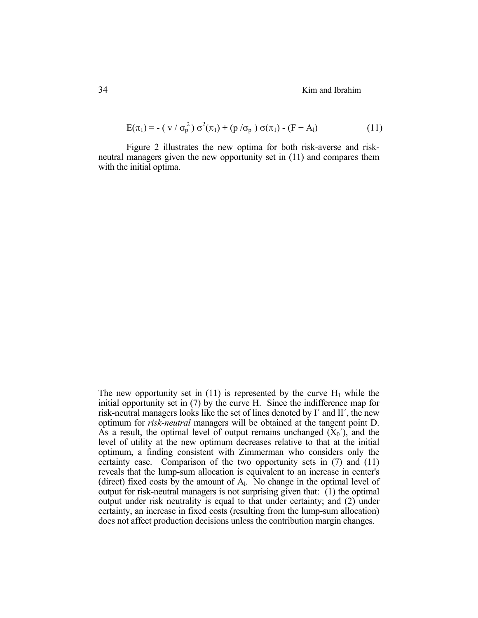$$
E(\pi_1) = -(\nu / \sigma_p^2) \sigma^2(\pi_1) + (p / \sigma_p) \sigma(\pi_1) - (F + A_1)
$$
\n(11)

 Figure 2 illustrates the new optima for both risk-averse and riskneutral managers given the new opportunity set in (11) and compares them with the initial optima.

The new opportunity set in (11) is represented by the curve  $H_1$  while the initial opportunity set in (7) by the curve H. Since the indifference map for risk-neutral managers looks like the set of lines denoted by I´ and II´, the new optimum for *risk-neutral* managers will be obtained at the tangent point D. As a result, the optimal level of output remains unchanged  $(X_0)$ , and the level of utility at the new optimum decreases relative to that at the initial optimum, a finding consistent with Zimmerman who considers only the certainty case. Comparison of the two opportunity sets in (7) and (11) reveals that the lump-sum allocation is equivalent to an increase in center's (direct) fixed costs by the amount of  $A<sub>l</sub>$ . No change in the optimal level of output for risk-neutral managers is not surprising given that:  $(1)$  the optimal output under risk neutrality is equal to that under certainty; and (2) under certainty, an increase in fixed costs (resulting from the lump-sum allocation) does not affect production decisions unless the contribution margin changes.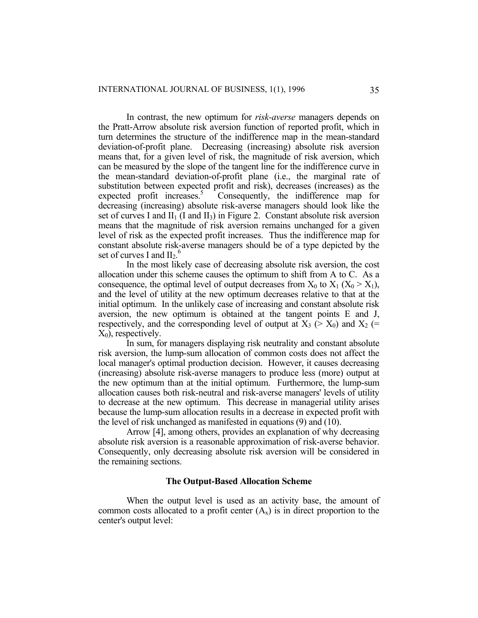In contrast, the new optimum for *risk-averse* managers depends on the Pratt-Arrow absolute risk aversion function of reported profit, which in turn determines the structure of the indifference map in the mean-standard deviation-of-profit plane. Decreasing (increasing) absolute risk aversion means that, for a given level of risk, the magnitude of risk aversion, which can be measured by the slope of the tangent line for the indifference curve in the mean-standard deviation-of-profit plane (i.e., the marginal rate of substitution between expected profit and risk), decreases (increases) as the expected profit increases.<sup>5</sup> Consequently, the indifference map for decreasing (increasing) absolute risk-averse managers should look like the set of curves I and  $II_1$  (I and  $II_3$ ) in Figure 2. Constant absolute risk aversion means that the magnitude of risk aversion remains unchanged for a given level of risk as the expected profit increases. Thus the indifference map for constant absolute risk-averse managers should be of a type depicted by the set of curves I and  $II_2$ .<sup>6</sup>

 In the most likely case of decreasing absolute risk aversion, the cost allocation under this scheme causes the optimum to shift from A to C. As a consequence, the optimal level of output decreases from  $X_0$  to  $X_1$  ( $X_0 > X_1$ ), and the level of utility at the new optimum decreases relative to that at the initial optimum. In the unlikely case of increasing and constant absolute risk aversion, the new optimum is obtained at the tangent points E and J, respectively, and the corresponding level of output at  $X_3$  ( $> X_0$ ) and  $X_2$  (=  $X_0$ ), respectively.

 In sum, for managers displaying risk neutrality and constant absolute risk aversion, the lump-sum allocation of common costs does not affect the local manager's optimal production decision. However, it causes decreasing (increasing) absolute risk-averse managers to produce less (more) output at the new optimum than at the initial optimum. Furthermore, the lump-sum allocation causes both risk-neutral and risk-averse managers' levels of utility to decrease at the new optimum. This decrease in managerial utility arises because the lump-sum allocation results in a decrease in expected profit with the level of risk unchanged as manifested in equations (9) and (10).

 Arrow [4], among others, provides an explanation of why decreasing absolute risk aversion is a reasonable approximation of risk-averse behavior. Consequently, only decreasing absolute risk aversion will be considered in the remaining sections.

### **The Output-Based Allocation Scheme**

 When the output level is used as an activity base, the amount of common costs allocated to a profit center  $(A_x)$  is in direct proportion to the center's output level: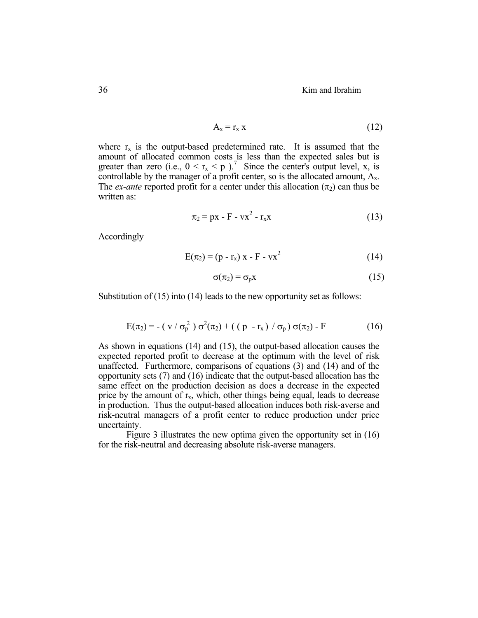$$
A_x = r_x x \tag{12}
$$

where  $r_x$  is the output-based predetermined rate. It is assumed that the amount of allocated common costs is less than the expected sales but is greater than zero (i.e.,  $0 < r_x < p$ ).<sup>7</sup> Since the center's output level, x, is controllable by the manager of a profit center, so is the allocated amount,  $A_x$ . The *ex-ante* reported profit for a center under this allocation  $(\pi_2)$  can thus be written as:

$$
\pi_2 = px - F - vx^2 - r_x x \tag{13}
$$

Accordingly

$$
E(\pi_2) = (p - r_x) x - F - vx^2 \tag{14}
$$

$$
\sigma(\pi_2) = \sigma_p x \tag{15}
$$

Substitution of (15) into (14) leads to the new opportunity set as follows:

$$
E(\pi_2) = -(\nu/\sigma_p^2) \sigma^2(\pi_2) + ((p - r_x) / \sigma_p) \sigma(\pi_2) - F
$$
 (16)

As shown in equations (14) and (15), the output-based allocation causes the expected reported profit to decrease at the optimum with the level of risk unaffected. Furthermore, comparisons of equations (3) and (14) and of the opportunity sets (7) and (16) indicate that the output-based allocation has the same effect on the production decision as does a decrease in the expected price by the amount of  $r<sub>x</sub>$ , which, other things being equal, leads to decrease in production. Thus the output-based allocation induces both risk-averse and risk-neutral managers of a profit center to reduce production under price uncertainty.

 Figure 3 illustrates the new optima given the opportunity set in (16) for the risk-neutral and decreasing absolute risk-averse managers.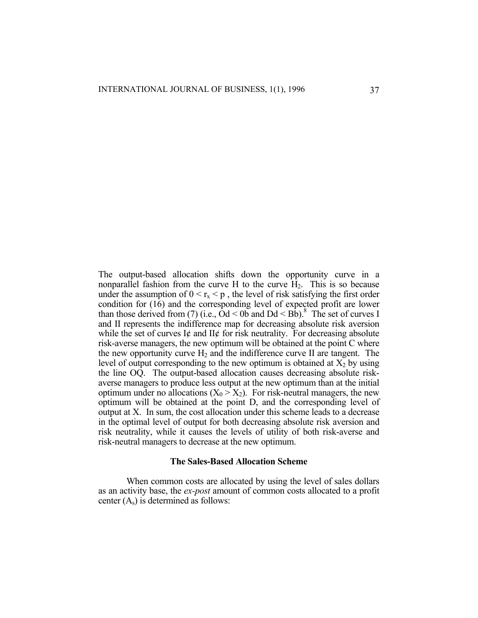The output-based allocation shifts down the opportunity curve in a nonparallel fashion from the curve H to the curve  $H_2$ . This is so because under the assumption of  $0 \le r_x \le p$ , the level of risk satisfying the first order condition for (16) and the corresponding level of expected profit are lower than those derived from (7) (i.e.,  $\dot{O}d < 0$  b and  $Dd < Bb$ ).<sup>8</sup> The set of curves I and II represents the indifference map for decreasing absolute risk aversion while the set of curves  $I\phi$  and  $II\phi$  for risk neutrality. For decreasing absolute risk-averse managers, the new optimum will be obtained at the point C where the new opportunity curve  $H_2$  and the indifference curve II are tangent. The level of output corresponding to the new optimum is obtained at  $X_2$  by using the line OQ. The output-based allocation causes decreasing absolute riskaverse managers to produce less output at the new optimum than at the initial optimum under no allocations  $(X_0 > X_2)$ . For risk-neutral managers, the new optimum will be obtained at the point D, and the corresponding level of output at X. In sum, the cost allocation under this scheme leads to a decrease in the optimal level of output for both decreasing absolute risk aversion and risk neutrality, while it causes the levels of utility of both risk-averse and risk-neutral managers to decrease at the new optimum.

#### **The Sales-Based Allocation Scheme**

 When common costs are allocated by using the level of sales dollars as an activity base, the *ex-post* amount of common costs allocated to a profit center  $(A_s)$  is determined as follows: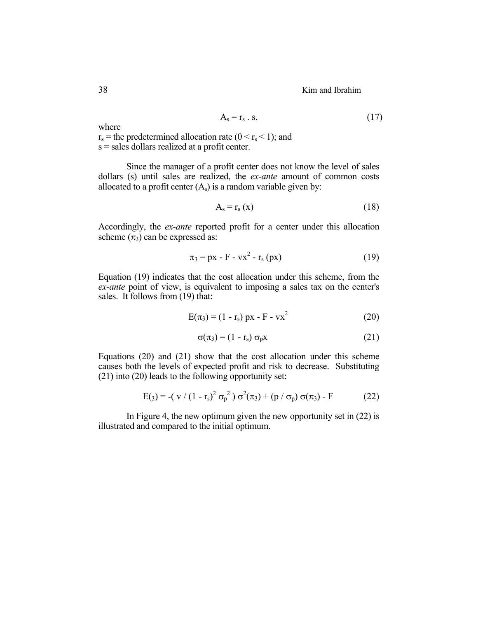$$
A_s = r_s \cdot s,\tag{17}
$$

where

 $r_s$  = the predetermined allocation rate ( $0 \le r_s \le 1$ ); and s = sales dollars realized at a profit center.

 Since the manager of a profit center does not know the level of sales dollars (s) until sales are realized, the *ex-ante* amount of common costs allocated to a profit center  $(A_s)$  is a random variable given by:

$$
A_s = r_s(x) \tag{18}
$$

Accordingly, the *ex-ante* reported profit for a center under this allocation scheme  $(\pi_3)$  can be expressed as:

$$
\pi_3 = px - F - vx^2 - r_s (px) \tag{19}
$$

Equation (19) indicates that the cost allocation under this scheme, from the *ex-ante* point of view, is equivalent to imposing a sales tax on the center's sales. It follows from (19) that:

$$
E(\pi_3) = (1 - r_s) px - F - vx^2
$$
 (20)

$$
\sigma(\pi_3) = (1 - r_s) \sigma_p x \tag{21}
$$

Equations (20) and (21) show that the cost allocation under this scheme causes both the levels of expected profit and risk to decrease. Substituting (21) into (20) leads to the following opportunity set:

$$
E(s) = -(v/(1 - r_s)^2 \sigma_p^2) \sigma^2(\pi_3) + (p/\sigma_p) \sigma(\pi_3) - F
$$
 (22)

 In Figure 4, the new optimum given the new opportunity set in (22) is illustrated and compared to the initial optimum.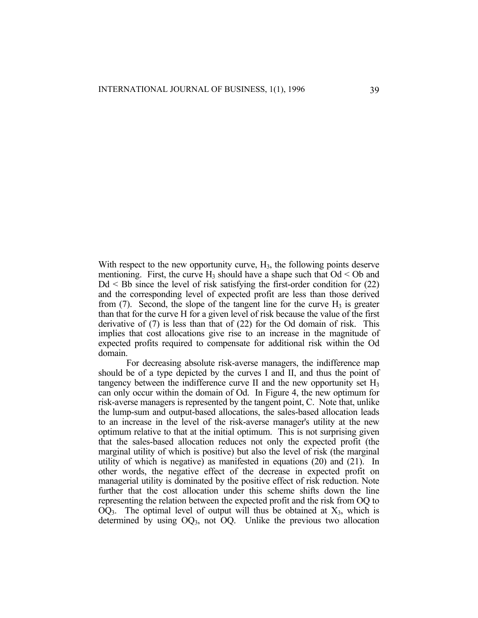With respect to the new opportunity curve,  $H_3$ , the following points deserve mentioning. First, the curve  $H_3$  should have a shape such that  $Od < Ob$  and  $Dd \leq Bb$  since the level of risk satisfying the first-order condition for  $(22)$ and the corresponding level of expected profit are less than those derived from  $(7)$ . Second, the slope of the tangent line for the curve  $H_3$  is greater than that for the curve H for a given level of risk because the value of the first derivative of (7) is less than that of (22) for the Od domain of risk. This implies that cost allocations give rise to an increase in the magnitude of expected profits required to compensate for additional risk within the Od domain.

 For decreasing absolute risk-averse managers, the indifference map should be of a type depicted by the curves I and II, and thus the point of tangency between the indifference curve  $\Pi$  and the new opportunity set  $H_3$ can only occur within the domain of Od. In Figure 4, the new optimum for risk-averse managers is represented by the tangent point, C. Note that, unlike the lump-sum and output-based allocations, the sales-based allocation leads to an increase in the level of the risk-averse manager's utility at the new optimum relative to that at the initial optimum. This is not surprising given that the sales-based allocation reduces not only the expected profit (the marginal utility of which is positive) but also the level of risk (the marginal utility of which is negative) as manifested in equations (20) and (21). In other words, the negative effect of the decrease in expected profit on managerial utility is dominated by the positive effect of risk reduction. Note further that the cost allocation under this scheme shifts down the line representing the relation between the expected profit and the risk from OQ to  $OQ<sub>3</sub>$ . The optimal level of output will thus be obtained at  $X<sub>3</sub>$ , which is determined by using  $OQ_3$ , not  $OQ$ . Unlike the previous two allocation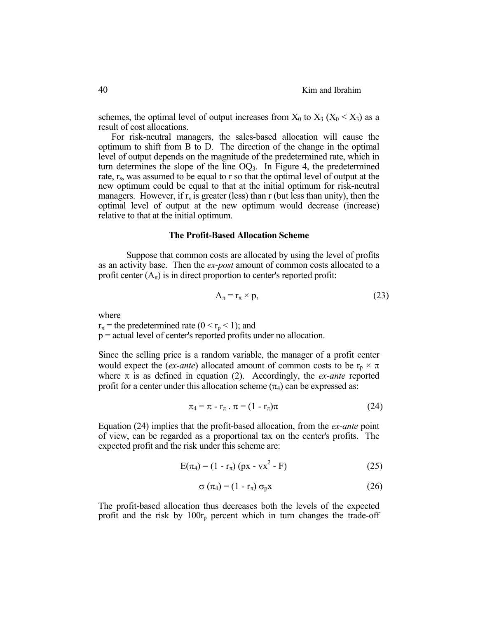schemes, the optimal level of output increases from  $X_0$  to  $X_3$  ( $X_0 < X_3$ ) as a result of cost allocations.

 For risk-neutral managers, the sales-based allocation will cause the optimum to shift from B to D. The direction of the change in the optimal level of output depends on the magnitude of the predetermined rate, which in turn determines the slope of the line  $OQ<sub>3</sub>$ . In Figure 4, the predetermined rate,  $r_s$ , was assumed to be equal to r so that the optimal level of output at the new optimum could be equal to that at the initial optimum for risk-neutral managers. However, if  $r_s$  is greater (less) than r (but less than unity), then the optimal level of output at the new optimum would decrease (increase) relative to that at the initial optimum.

#### **The Profit-Based Allocation Scheme**

 Suppose that common costs are allocated by using the level of profits as an activity base. Then the *ex-post* amount of common costs allocated to a profit center  $(A<sub>\pi</sub>)$  is in direct proportion to center's reported profit:

$$
A_{\pi} = r_{\pi} \times p, \tag{23}
$$

where

 $r_{\pi}$  = the predetermined rate (0 <  $r_p$  < 1); and

p = actual level of center's reported profits under no allocation.

Since the selling price is a random variable, the manager of a profit center would expect the (*ex-ante*) allocated amount of common costs to be  $r_p \times \pi$ where  $\pi$  is as defined in equation (2). Accordingly, the *ex-ante* reported profit for a center under this allocation scheme  $(\pi_4)$  can be expressed as:

$$
\pi_4 = \pi - r_\pi \cdot \pi = (1 - r_\pi)\pi \tag{24}
$$

Equation (24) implies that the profit-based allocation, from the *ex-ante* point of view, can be regarded as a proportional tax on the center's profits. The expected profit and the risk under this scheme are:

$$
E(\pi_4) = (1 - r_{\pi}) (px - vx^2 - F)
$$
 (25)

$$
\sigma\left(\pi_4\right) = \left(1 - r_\pi\right)\sigma_p x \tag{26}
$$

The profit-based allocation thus decreases both the levels of the expected profit and the risk by  $100r_p$  percent which in turn changes the trade-off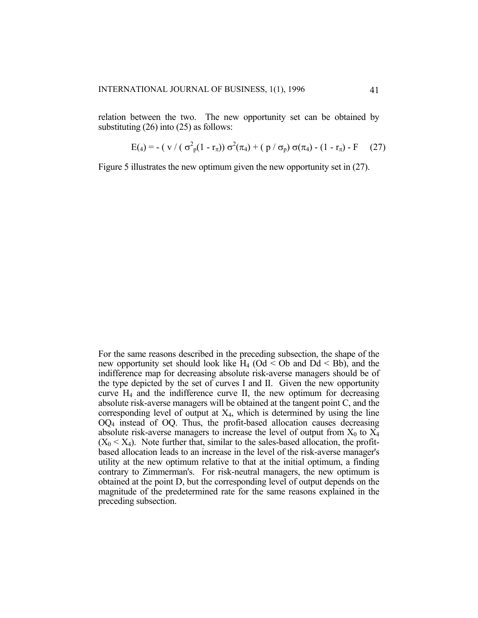relation between the two. The new opportunity set can be obtained by substituting (26) into (25) as follows:

$$
E(4) = - (v / (\sigma_p^2 (1 - r_\pi)) \sigma^2 (\pi_4) + (p / \sigma_p) \sigma (\pi_4) - (1 - r_\pi) - F \quad (27)
$$

Figure 5 illustrates the new optimum given the new opportunity set in (27).

For the same reasons described in the preceding subsection, the shape of the new opportunity set should look like  $H_4$  (Od < Ob and Dd < Bb), and the indifference map for decreasing absolute risk-averse managers should be of the type depicted by the set of curves I and II. Given the new opportunity curve  $H_4$  and the indifference curve II, the new optimum for decreasing absolute risk-averse managers will be obtained at the tangent point C, and the corresponding level of output at  $X_4$ , which is determined by using the line OQ4 instead of OQ. Thus, the profit-based allocation causes decreasing absolute risk-averse managers to increase the level of output from  $X_0$  to  $X_4$  $(X_0 \le X_4)$ . Note further that, similar to the sales-based allocation, the profitbased allocation leads to an increase in the level of the risk-averse manager's utility at the new optimum relative to that at the initial optimum, a finding contrary to Zimmerman's. For risk-neutral managers, the new optimum is obtained at the point D, but the corresponding level of output depends on the magnitude of the predetermined rate for the same reasons explained in the preceding subsection.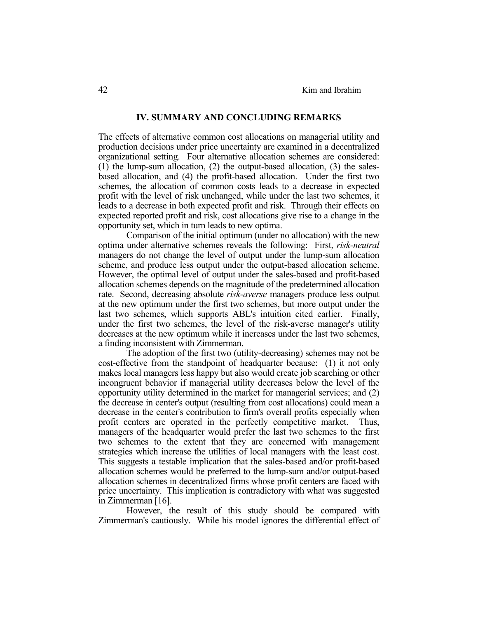### **IV. SUMMARY AND CONCLUDING REMARKS**

The effects of alternative common cost allocations on managerial utility and production decisions under price uncertainty are examined in a decentralized organizational setting. Four alternative allocation schemes are considered: (1) the lump-sum allocation, (2) the output-based allocation, (3) the salesbased allocation, and (4) the profit-based allocation. Under the first two schemes, the allocation of common costs leads to a decrease in expected profit with the level of risk unchanged, while under the last two schemes, it leads to a decrease in both expected profit and risk. Through their effects on expected reported profit and risk, cost allocations give rise to a change in the opportunity set, which in turn leads to new optima.

 Comparison of the initial optimum (under no allocation) with the new optima under alternative schemes reveals the following: First, *risk-neutral* managers do not change the level of output under the lump-sum allocation scheme, and produce less output under the output-based allocation scheme. However, the optimal level of output under the sales-based and profit-based allocation schemes depends on the magnitude of the predetermined allocation rate. Second, decreasing absolute *risk-averse* managers produce less output at the new optimum under the first two schemes, but more output under the last two schemes, which supports ABL's intuition cited earlier. Finally, under the first two schemes, the level of the risk-averse manager's utility decreases at the new optimum while it increases under the last two schemes, a finding inconsistent with Zimmerman.

 The adoption of the first two (utility-decreasing) schemes may not be cost-effective from the standpoint of headquarter because: (1) it not only makes local managers less happy but also would create job searching or other incongruent behavior if managerial utility decreases below the level of the opportunity utility determined in the market for managerial services; and (2) the decrease in center's output (resulting from cost allocations) could mean a decrease in the center's contribution to firm's overall profits especially when profit centers are operated in the perfectly competitive market. Thus, managers of the headquarter would prefer the last two schemes to the first two schemes to the extent that they are concerned with management strategies which increase the utilities of local managers with the least cost. This suggests a testable implication that the sales-based and/or profit-based allocation schemes would be preferred to the lump-sum and/or output-based allocation schemes in decentralized firms whose profit centers are faced with price uncertainty. This implication is contradictory with what was suggested in Zimmerman [16].

 However, the result of this study should be compared with Zimmerman's cautiously. While his model ignores the differential effect of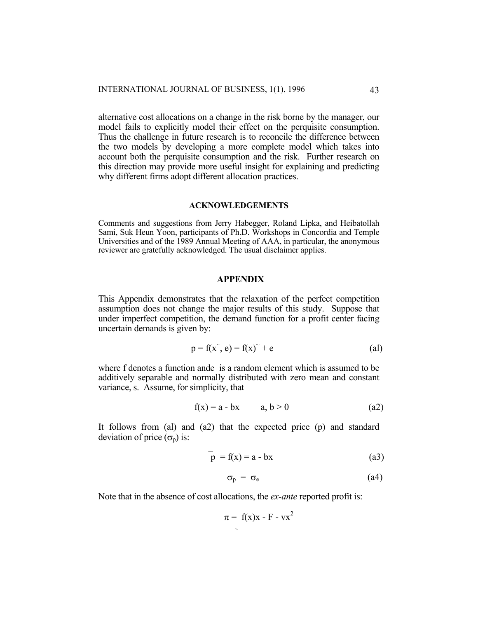alternative cost allocations on a change in the risk borne by the manager, our model fails to explicitly model their effect on the perquisite consumption. Thus the challenge in future research is to reconcile the difference between the two models by developing a more complete model which takes into account both the perquisite consumption and the risk. Further research on this direction may provide more useful insight for explaining and predicting why different firms adopt different allocation practices.

#### **ACKNOWLEDGEMENTS**

Comments and suggestions from Jerry Habegger, Roland Lipka, and Heibatollah Sami, Suk Heun Yoon, participants of Ph.D. Workshops in Concordia and Temple Universities and of the 1989 Annual Meeting of AAA, in particular, the anonymous reviewer are gratefully acknowledged. The usual disclaimer applies.

## **APPENDIX**

This Appendix demonstrates that the relaxation of the perfect competition assumption does not change the major results of this study. Suppose that under imperfect competition, the demand function for a profit center facing uncertain demands is given by:

$$
p = f(x^*, e) = f(x)^* + e \tag{al}
$$

where f denotes a function ande is a random element which is assumed to be additively separable and normally distributed with zero mean and constant variance, s. Assume, for simplicity, that

$$
f(x) = a - bx \qquad a, b > 0 \tag{a2}
$$

It follows from (al) and (a2) that the expected price (p) and standard deviation of price  $(\sigma_{p})$  is:

$$
p = f(x) = a - bx \tag{a3}
$$

$$
\sigma_{\rm p} = \sigma_{\rm e} \tag{a4}
$$

Note that in the absence of cost allocations, the *ex-ante* reported profit is:

 $\mathcal{L}=\mathcal{L}^{\mathcal{L}}$  , where  $\mathcal{L}^{\mathcal{L}}=\mathcal{L}^{\mathcal{L}}$  , we have the set of  $\mathcal{L}^{\mathcal{L}}$ 

$$
\pi = f(x)x - F - vx^2
$$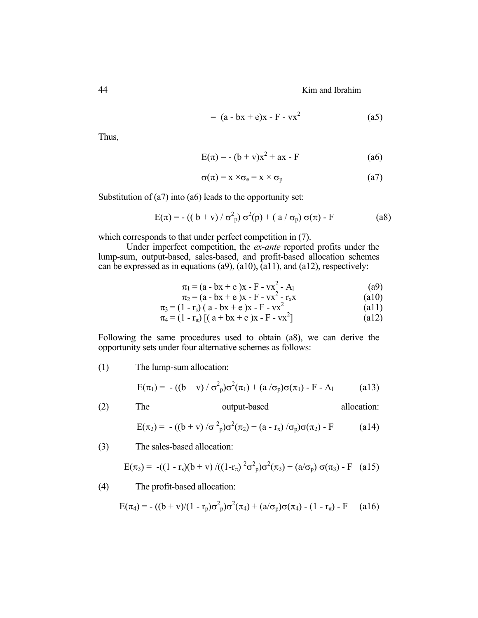$$
= (a - bx + e)x - F - vx2
$$
 (a5)

Thus,

$$
E(\pi) = -(b + v)x^{2} + ax - F
$$
 (a6)

$$
\sigma(\pi) = x \times \sigma_e = x \times \sigma_p \tag{a7}
$$

Substitution of (a7) into (a6) leads to the opportunity set:

$$
E(\pi) = -((b + v) / \sigma_p^2) \sigma^2(p) + (a / \sigma_p) \sigma(\pi) - F
$$
 (a8)

which corresponds to that under perfect competition in (7).

 Under imperfect competition, the *ex-ante* reported profits under the lump-sum, output-based, sales-based, and profit-based allocation schemes can be expressed as in equations (a9),  $(a10)$ ,  $(a11)$ , and  $(a12)$ , respectively:

$$
\pi_1 = (a - bx + e)x - F - vx^2 - A_1 \tag{a9}
$$

$$
\pi_2 = (a - bx + e)x - F - vx^2 - r_x x \tag{a10}
$$

$$
\pi_3 = (1 - r_s) (a - bx + e) x - F - vx^2
$$
 (a11)

$$
\pi_4 = (1 - r_\pi) [(a + bx + e)x - F - vx^2]
$$
 (a12)

Following the same procedures used to obtain (a8), we can derive the opportunity sets under four alternative schemes as follows:

(1) The lump-sum allocation:

$$
E(\pi_1) = -((b + v) / \sigma^2_p)\sigma^2(\pi_1) + (a / \sigma_p)\sigma(\pi_1) - F - A_1
$$
 (a13)

(2) The output-based allocation:

$$
E(\pi_2) = -((b + v) / \sigma^2_p) \sigma^2(\pi_2) + (a - r_x) / \sigma_p) \sigma(\pi_2) - F
$$
 (a14)

(3) The sales-based allocation:

$$
E(\pi_3) = -((1 - r_s)(b + v) / ((1 - r_\pi)^2 \sigma_p^2) \sigma^2(\pi_3) + (a/\sigma_p) \sigma(\pi_3) - F
$$
 (a15)

(4) The profit-based allocation:

$$
E(\pi_4) = -((b + v)/(1 - r_p)\sigma^2 p)\sigma^2(\pi_4) + (a/\sigma_p)\sigma(\pi_4) - (1 - r_\pi) - F \quad (a16)
$$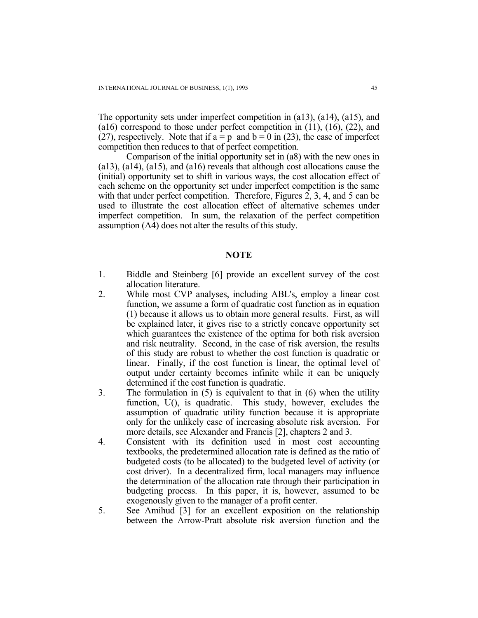The opportunity sets under imperfect competition in (a13), (a14), (a15), and (a16) correspond to those under perfect competition in (11), (16), (22), and (27), respectively. Note that if  $a = p$  and  $b = 0$  in (23), the case of imperfect competition then reduces to that of perfect competition.

 Comparison of the initial opportunity set in (a8) with the new ones in (a13), (a14), (a15), and (a16) reveals that although cost allocations cause the (initial) opportunity set to shift in various ways, the cost allocation effect of each scheme on the opportunity set under imperfect competition is the same with that under perfect competition. Therefore, Figures 2, 3, 4, and 5 can be used to illustrate the cost allocation effect of alternative schemes under imperfect competition. In sum, the relaxation of the perfect competition assumption (A4) does not alter the results of this study.

#### **NOTE**

- 1. Biddle and Steinberg [6] provide an excellent survey of the cost allocation literature.
- 2. While most CVP analyses, including ABL's, employ a linear cost function, we assume a form of quadratic cost function as in equation (1) because it allows us to obtain more general results. First, as will be explained later, it gives rise to a strictly concave opportunity set which guarantees the existence of the optima for both risk aversion and risk neutrality. Second, in the case of risk aversion, the results of this study are robust to whether the cost function is quadratic or linear. Finally, if the cost function is linear, the optimal level of output under certainty becomes infinite while it can be uniquely determined if the cost function is quadratic.
- 3. The formulation in (5) is equivalent to that in (6) when the utility function, U(), is quadratic. This study, however, excludes the assumption of quadratic utility function because it is appropriate only for the unlikely case of increasing absolute risk aversion. For more details, see Alexander and Francis [2], chapters 2 and 3.
- 4. Consistent with its definition used in most cost accounting textbooks, the predetermined allocation rate is defined as the ratio of budgeted costs (to be allocated) to the budgeted level of activity (or cost driver). In a decentralized firm, local managers may influence the determination of the allocation rate through their participation in budgeting process. In this paper, it is, however, assumed to be exogenously given to the manager of a profit center.
- 5. See Amihud [3] for an excellent exposition on the relationship between the Arrow-Pratt absolute risk aversion function and the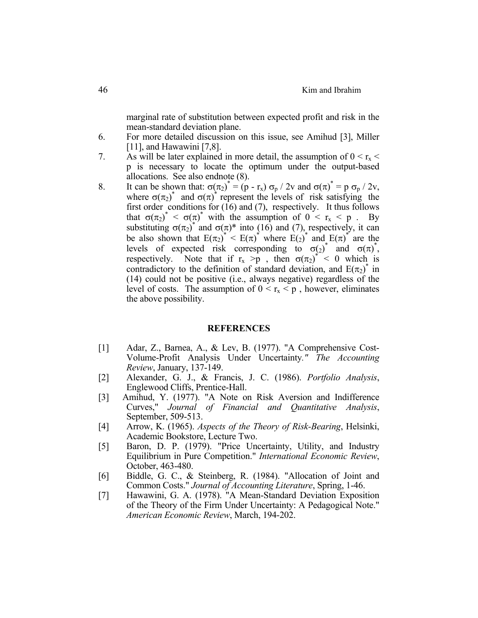marginal rate of substitution between expected profit and risk in the mean-standard deviation plane.

- 6. For more detailed discussion on this issue, see Amihud [3], Miller [11], and Hawawini [7,8].
- 7. As will be later explained in more detail, the assumption of  $0 < r_x <$ p is necessary to locate the optimum under the output-based allocations. See also endnote (8).
- 8. It can be shown that:  $\sigma(\pi_2)^* = (p r_x) \sigma_p / 2v$  and  $\sigma(\pi)^* = p \sigma_p / 2v$ , where  $\sigma(\pi_2)$ <sup>\*</sup> and  $\sigma(\pi)$ <sup>\*</sup> represent the levels of risk satisfying the first order conditions for  $(16)$  and  $(7)$ , respectively. It thus follows that  $\sigma(\pi_2)^* < \sigma(\pi)^*$  with the assumption of  $0 < r_x < p$ . By substituting  $\sigma(\pi_2)$ <sup>\*</sup> and  $\sigma(\pi)$ <sup>\*</sup> into (16) and (7), respectively, it can be also shown that  $E(\pi_2)^* < E(\pi)^*$  where  $E(\pi)^*$  and  $E(\pi)^*$  are the levels of expected risk corresponding to  $\sigma(2)$ <sup>\*</sup> and  $\sigma(\pi)^*$ , respectively. Note that if  $r_x > p$ , then  $\sigma(\pi_2)^* < 0$  which is contradictory to the definition of standard deviation, and  $E(\pi_2)$ <sup>\*</sup> in (14) could not be positive (i.e., always negative) regardless of the level of costs. The assumption of  $0 \le r_x \le p$ , however, eliminates the above possibility.

#### **REFERENCES**

- [1] Adar, Z., Barnea, A., & Lev, B. (1977). "A Comprehensive Cost-Volume-Profit Analysis Under Uncertainty*." The Accounting Review*, January, 137-149.
- [2] Alexander, G. J., & Francis, J. C. (1986). *Portfolio Analysis*, Englewood Cliffs, Prentice-Hall.
- [3] Amihud, Y. (1977). "A Note on Risk Aversion and Indifference Curves," *Journal of Financial and Quantitative Analysis*, September, 509-513.
- [4] Arrow, K. (1965). *Aspects of the Theory of Risk-Bearing*, Helsinki, Academic Bookstore, Lecture Two.
- [5] Baron, D. P. (1979). "Price Uncertainty, Utility, and Industry Equilibrium in Pure Competition." *International Economic Review*, October, 463-480.
- [6] Biddle, G. C., & Steinberg, R. (1984). "Allocation of Joint and Common Costs." *Journal of Accounting Literature*, Spring, 1-46.
- [7] Hawawini, G. A. (1978). "A Mean-Standard Deviation Exposition of the Theory of the Firm Under Uncertainty: A Pedagogical Note." *American Economic Review*, March, 194-202.